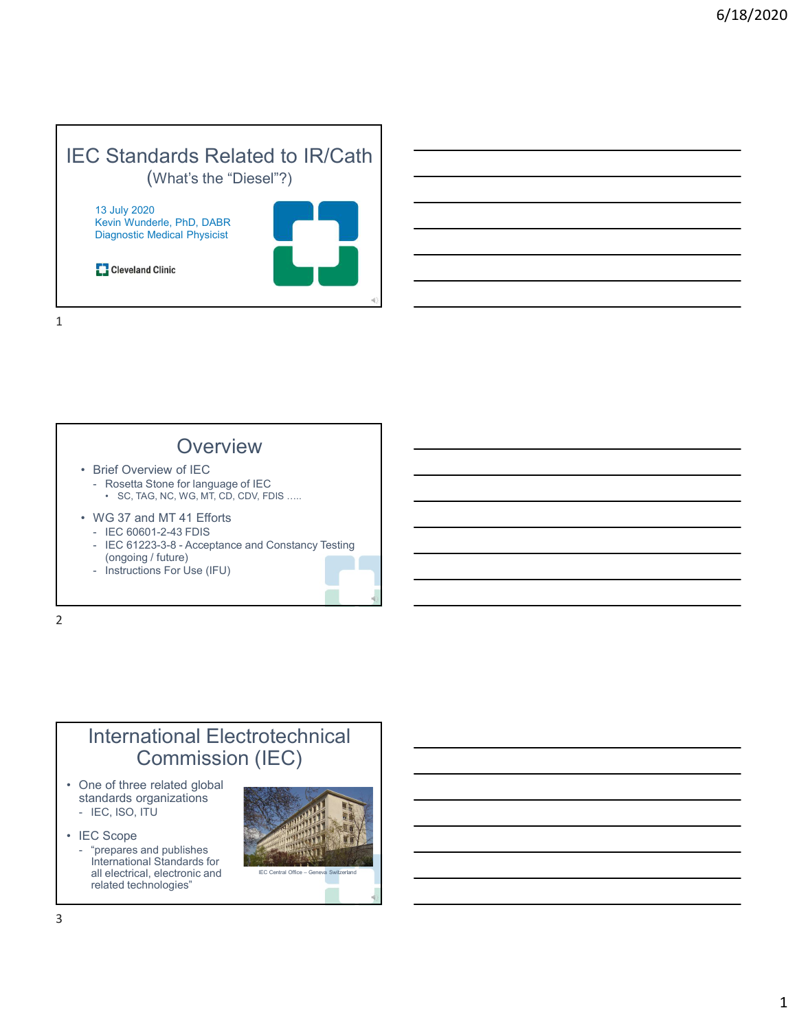#### IEC Standards Related to IR/Cath (What's the "Diesel"?)

13 July 2020 Kevin Wunderle, PhD, DABR Diagnostic Medical Physicist



1



2

### International Electrotechnical Commission (IEC)

- standards organizations<br>- IEC, ISO, ITU
- 
- International Standards for<br>all electrical electronic and<br> $\frac{1}{2}$  EC Central Office Ger all electrical, electronic and **EC Central Office - Geneva Swit** related technologies"

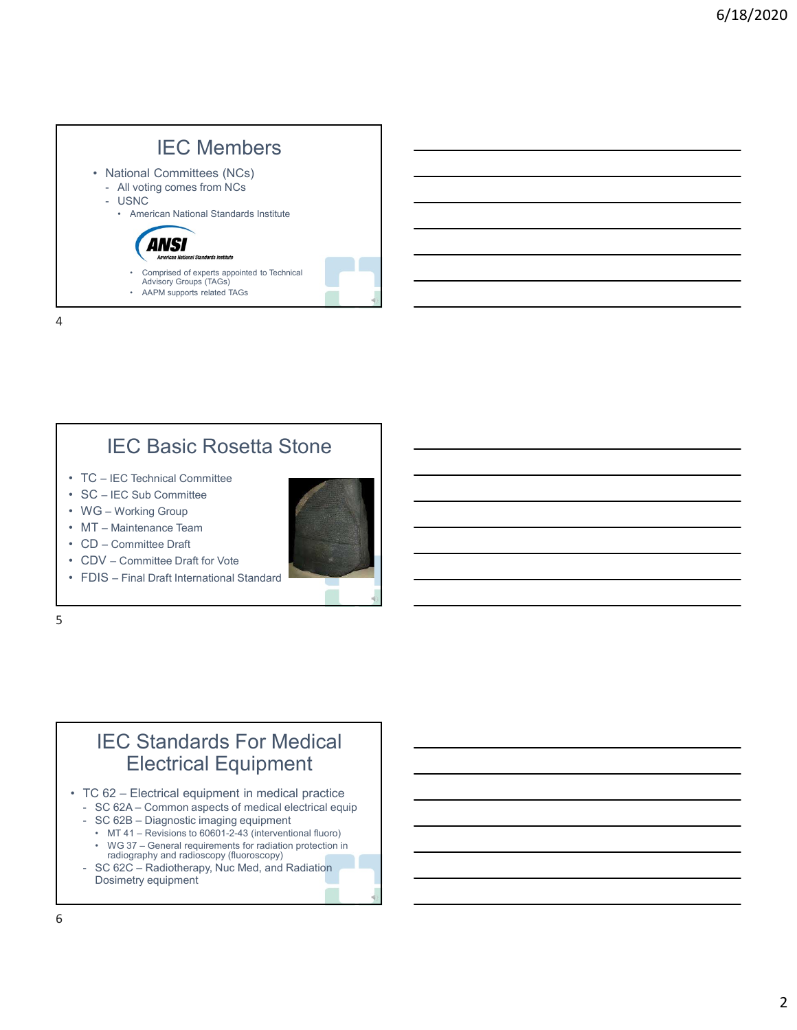

### IEC Basic Rosetta Stone

- 
- 
- 
- 
- 
- 
- 



 $5<sub>5</sub>$ 

### IEC Standards For Medical Electrical Equipment • TC – IEC Technical Committee<br>• WG – Working Group<br>• WG – Working Group<br>• CD – Committee Draft for Vote<br>• CDV – Committee Draft for Vote<br>• FDIS – Final Draft International Standard<br>• CDV – Committee Draft for Vote<br>• FDIS TC – IEC Sub Committee<br>
MG – Working Group<br>
MT – Maintenance Team<br>
TDDV – Committee Draft for Vote<br>
FDIS – Final Draft International Standard<br>
FDIS – Final Draft International Standard<br>
IEC Standards For Medical<br>
LEC Stand 19 C – Lic Sub Committee<br>
MG – Working Group<br>
MG – Working Group<br>
CDV – Committee Draft for Vote<br>
EDS – Final Draft International Standard<br>
DIS – Final Draft International Standard<br>
IEC Standards For Medical<br>
TC 62 – Elect - IEC side Committee<br>
The Maritenance Team<br>
D-Committee Draft<br>
IS – Final Draft International Standard<br>
IS – Final Draft International Standard<br>
IEC Standards For Medical<br>
Electrical Equipment<br>
C 62 – Electrical Equipment<br> 9 – Working Group<br>
– Committee Draft<br>
– Committee Draft<br>
IV – Committee Draft<br>
SIS – Final Draft International Standard<br>
– Electrical Equipment<br>
– Centeral requirement in medical protection<br>
SC 622 – Common aspects of medi VI<br>
I — Mantenare Beart<br>
CDV – Committee Draft for Vote<br>
CDV – Committee Draft for Vote<br>
EDCS – Final Draft International Standard<br>
ELECTICal Equipment<br>
I — Electrical equipment in medicine protice<br>
SC 622 – Common aspects

- 
- 
- 
- radiography and radioscopy (fluoroscopy)
- Dosimetry equipment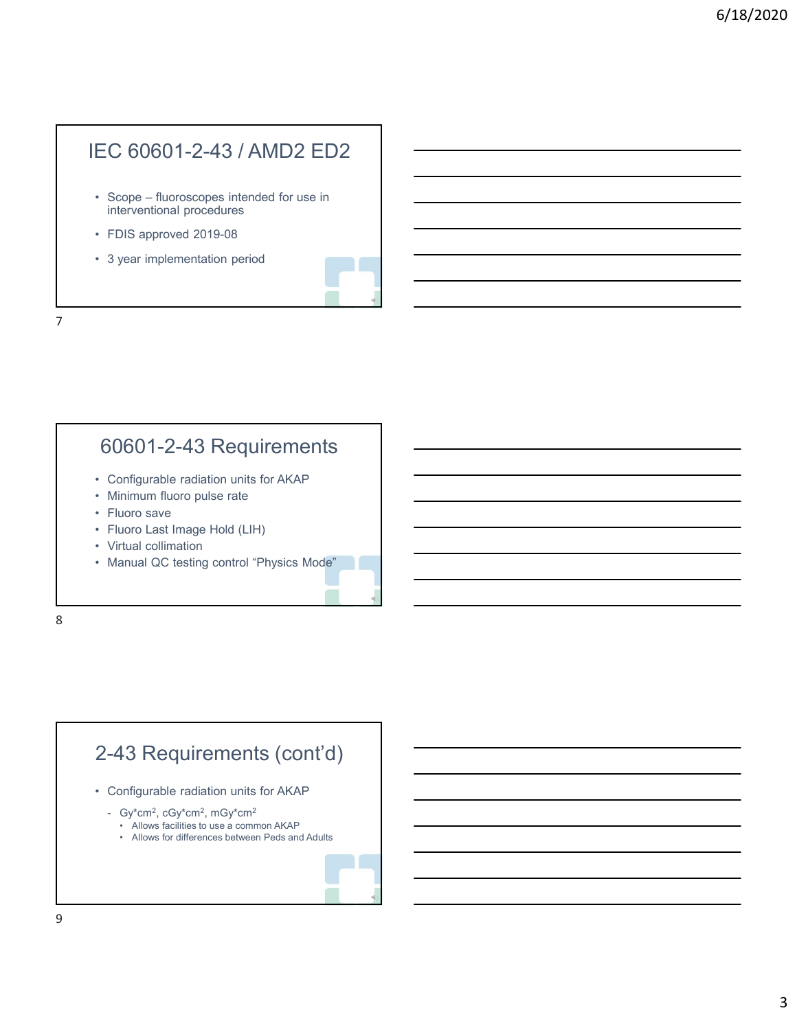## IEC 60601-2-43 / AMD2 ED2 EC 60601-2-43 / AMD2 ED2<br>• Scope – fluoroscopes intended for use in<br>interventional procedures<br>• FDIS approved 2019-08<br>• 3 year implementation period EC 60601-2-43 / AMD2 ED2<br>• Scope – fluoroscopes intended for use in<br>interventional procedures<br>• FDIS approved 2019-08<br>• 3 year implementation period EC 60601-2-43 / AMD2 ED2<br>• Scope – fluoroscopes intended for use in<br>interventional procedures<br>• FDIS approved 2019-08<br>• 3 year implementation period EC 60601-2-43 / AMD2 ED2<br>
• Scope – fluoroscopes intended for use in<br>
interventional procedures<br>
• FDIS approved 2019-08<br>
• 3 year implementation period<br>
• 3 year implementation period<br>
• Configurable radiation units for A

- interventional procedures CO COOO PE TO 77 WIVEZ COZ<br>
• Scope – fluoroscopes intended for use in<br>
• FDIS approved 2019-08<br>
• 3 year implementation period<br>
• 3 year implementation period<br>
• GO601-2-43 Requirements<br>
• Cnofigurable radiation units for • Scope – fluoroscopes intended for use in<br>
• FDIS approved 2019-08<br>
• 3 year implementation period<br>
• 3 year implementation period<br>
• SCOSO 1-2-43 Requirements<br>
• Configurable radiation units for AKAP<br>
• Minimum fluoro pu • Scope – fluoroscopes intended for use in<br>
• FDIS approved 2019-08<br>
• 3 year implementation period<br>
• 3 year implementation period<br>
• Minimum fluoro pulse radiation units for AKAP<br>
• Minimum fluoro pulse rate<br>
• Fluoro La
- 
- 

7

# 60601-2-43 Requirements interventional procedures<br>• FDIS approved 2019-08<br>• 3 year implementation period<br>• GO601-2-43 Requirements<br>• Configurable radiation units for AKAP<br>• Minimum fluoro pulse rate<br>• Fluoro save<br>• Fluoro Last Image Hold (LIH)<br>• • FDIS approved 2019-08<br>• 3 year implementation period<br>• 60601-2-43 Requirements<br>• Configurable radiation units for AKAP<br>• Minimum fluoro pulse rate<br>• Fluoro Last Image Hold (LIH)<br>• Virtual collimation<br>• Manual QC testing

- 
- 
- 
- 
- 
- 

8 and 2010 and 2010 and 2010 and 2010 and 2010 and 2010 and 2010 and 2010 and 2010 and 2010 and 2010 and 2010

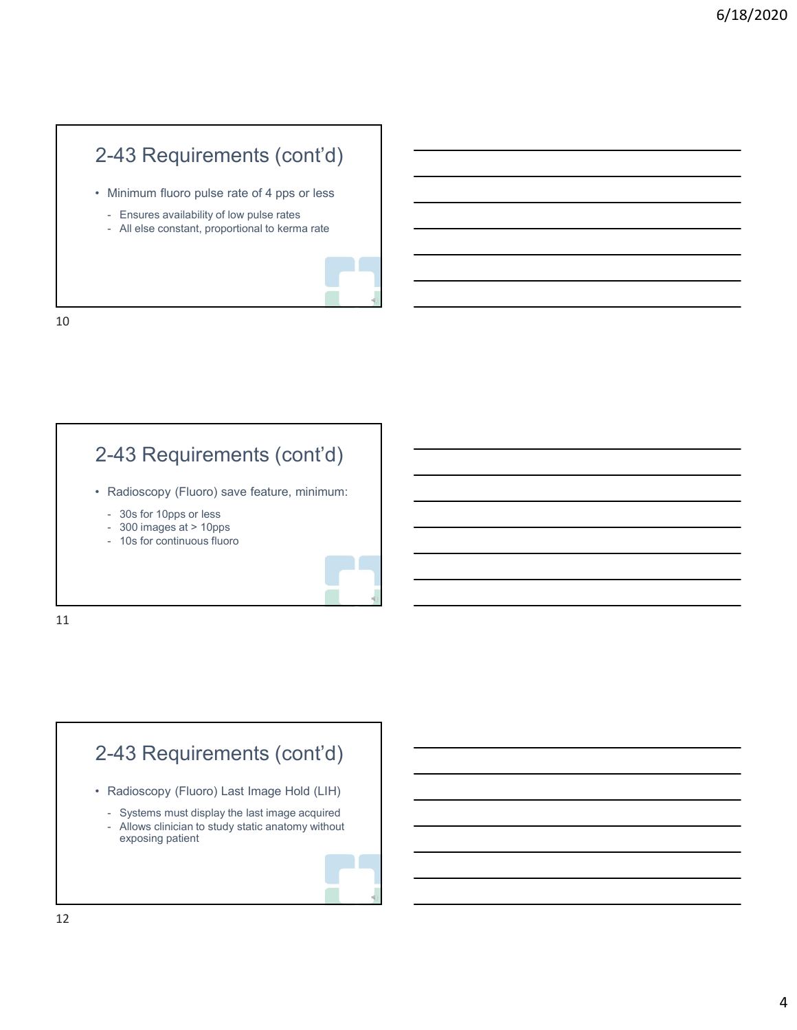## 2-43 Requirements (cont'd)<br>• Minimum fluoro pulse rate of 4 pps or less<br>• Ensures availability of low pulse rates<br>• All else constant, proportional to kerma rate -43 Requirements (cont'd)<br>
Minimum fluoro pulse rate of 4 pps or less<br>
- Ensures availability of low pulse rates<br>
- All else constant, proportional to kerma rate -43 Requirements (cont'd)<br>
Minimum fluoro pulse rate of 4 pps or less<br>
- Ensures availability of low pulse rates<br>
- All else constant, proportional to kerma rate 2-43 Requirements (cont'd)

- -
	-



10

### 2-43 Requirements (cont'd) 2-43 Requirements (cont'd)<br>
• Minimum fluoro pulse rate of 4 pps or less<br>
– Ensures availability of low pulse rates<br>
– All else constant, proportional to kerma rate<br>
–<br>
2-43 Requirements (cont'd)<br>
• Radioscopy (Fluoro) sav Minimum fluoro pulse rate of 4 pps or less<br>
- Ensures availability of low pulse rates<br>
- All else constant, proportional to kerma rate<br>
- All else constant, proportional to kerma rate<br>
-<br>
- All else constant, proportional Minimum fluoro pulse rate of 4 pps or less<br>
- Ensures availability of low pulse rates<br>
- All else constant, proportional to kerma rate<br>
- All else constant, proportional to kerma rate<br>
-<br>
- A3 Requirements (cont'd)<br>
-<br>
- A - Ensures availability of low pulse rates<br>- All else constant, proportional to kerma rate<br>- 10s for continuous fluoro<br>- 30s for 10pps or less<br>- 300 images at > 10pps<br>- 10s for continuous fluoro<br>- 10s for continuous fluoro

- -
	-
	-



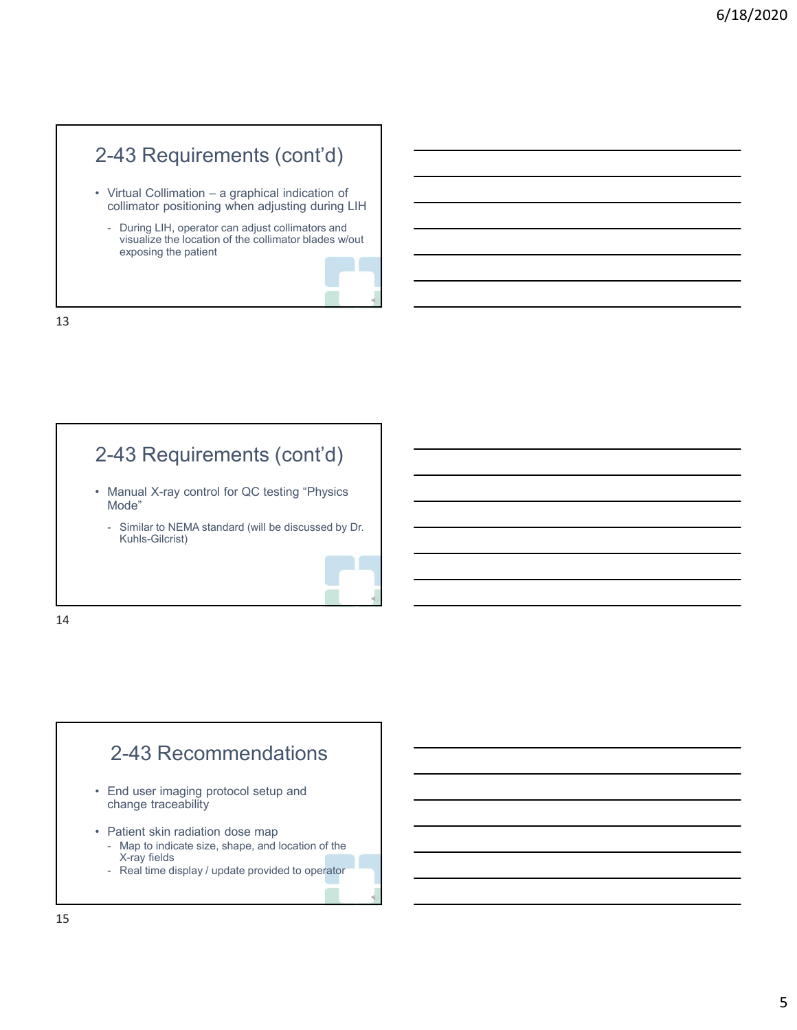### 2-43 Requirements (cont'd)

- collimator positioning when adjusting during LIH
- 2-43 Requirements  $(cont'd)$ <br>• Virtual Collimation a graphical indication of<br>collimator positioning when adjusting during LIH<br>• During LIH, operator can adjust collimators and<br>visualize the location of the collimator blades -43 Requirements (cont'd)<br>
Virtual Collimation - a graphical indication of<br>
collimator positioning when adjusting during LIH<br>
- During LIH, operator can adjust collimators and<br>
visualize the location of the collimator blad - During LIH, operator can adjust collimators and<br>visualize the location of the collimator blades w/out exposing the patient 2-43 Requirements (control)<br>
• Virtual Collimation – a graphical indication of<br>
collimator positioning when adjusting during LIH<br>
• During LIH, operator can adjust collimator blades wout<br>
exposing the patient<br>
• Similar to Virtual Collimation – a graphical indication of<br>
collimator positioning when adjust collimators and<br>
From Sisualize the location of the collimator blades wout<br>
exposing the patient<br>
exposing the patient<br>
exposing the patie



13

### 2-43 Requirements (cont'd)

- Mode"
	- Kuhls-Gilcrist)



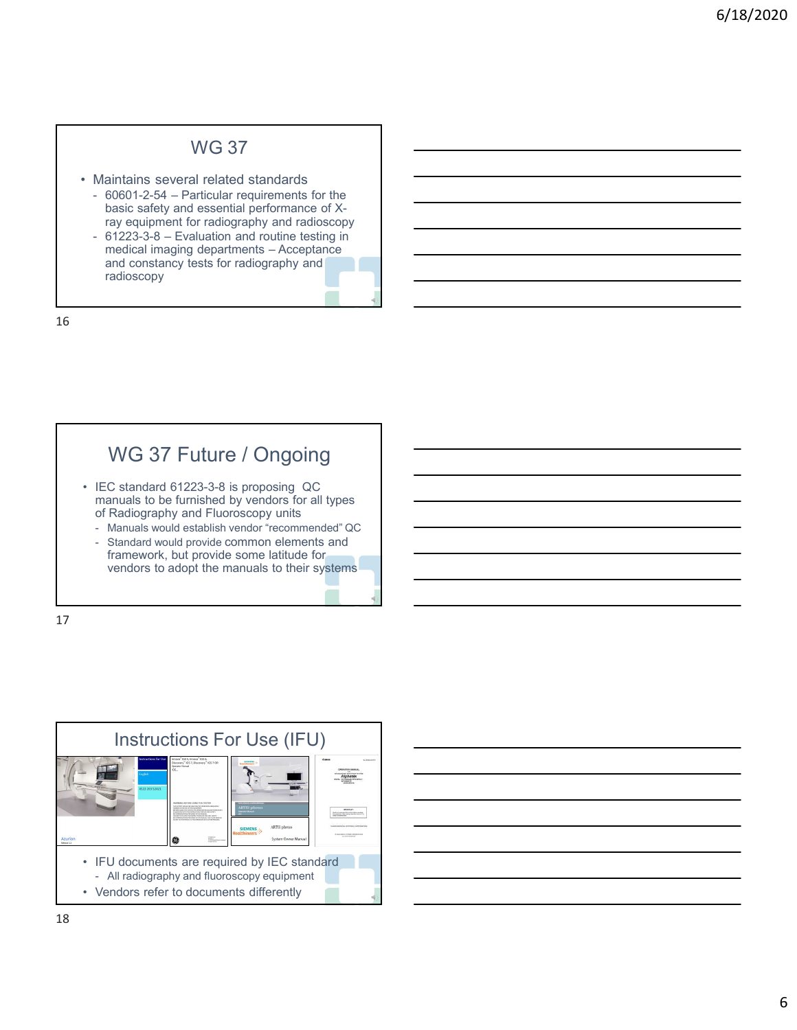#### WG 37

- 
- WG 37<br>• Maintains several related standards<br>• 60601-2-54 Particular requirements for the<br>basic safety and essential performance of X-<br>ray equipment for radiography and radioscopy<br>• 61223-3-8 Evaluation and routine test WG 37<br>
Maintains several related standards<br>
- 60601-2-54 – Particular requirements for the<br>
basic safety and essential performance of X-<br>
requested and constant for radiography and radioscopy<br>
- 61223-3-8 – Evaluation and basic safety and essential performance of Xray equipment for radiography and radioscopy<br>- 61223-3-8 – Evaluation and routine testing in
- WG 37<br>
Maintains several related standards<br>
 60601-2-54 Particular requirements for the<br>
basic safety and essential performance of X-<br>
ray equipment for radiography and radioscopy<br>
 61223-3-8 Evaluation and routine t WG 37<br>aintains several related standards<br>basic safety and essential performance of x-<br>basic safety and essential performance of x-<br>ray equipment for radiography and radioscopy<br>fitness – Acceptance and constance in medical and constancy tests for radiography and radioscopy VVG 37<br>
Maintains several related standards<br>
60601-2-54 – Particular requirements for the<br>
basic safety and essential performance of X-<br>
ray equipment for radiography and radioscopy<br>
61223-3-8 – Evaluation and routine test - 60601-2-54 – Particular requirements for the<br>
basic safety and essential performance of X-<br>
ray equipment for radiography and radioscopy<br>
medical imaging departments – Acceptance<br>
and constancy tests for radiography and<br> basic safety and essential performance of X-<br>ray equipment for radiography and radioscopy<br>61223-3-8 – Evaluation and routine testing in<br>and constancy tests for radiography and<br>radioscopy<br>radioscopy<br>factors and constant of

16

### WG 37 Future / Ongoing

- manuals to be furnished by vendors for all types of Radiography and Fluoroscopy units<br>- Manuals would establish vendor "recommended" QC
	-
	- framework, but provide some latitude for vendors to adopt the manuals to their systems

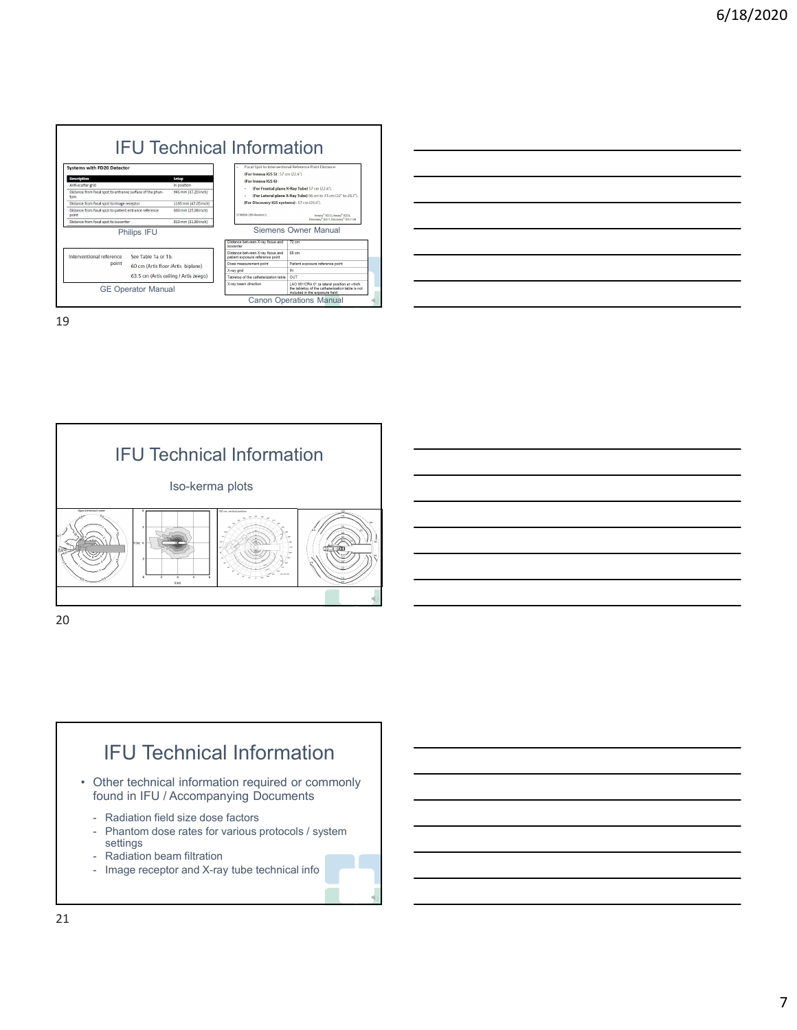

|  |  | <u> 1989 - Andrea Barbara, amerikana amerikana amerikana amerikana amerikana amerikana amerikana amerikana amerika</u> |
|--|--|------------------------------------------------------------------------------------------------------------------------|
|  |  |                                                                                                                        |
|  |  |                                                                                                                        |
|  |  |                                                                                                                        |
|  |  |                                                                                                                        |